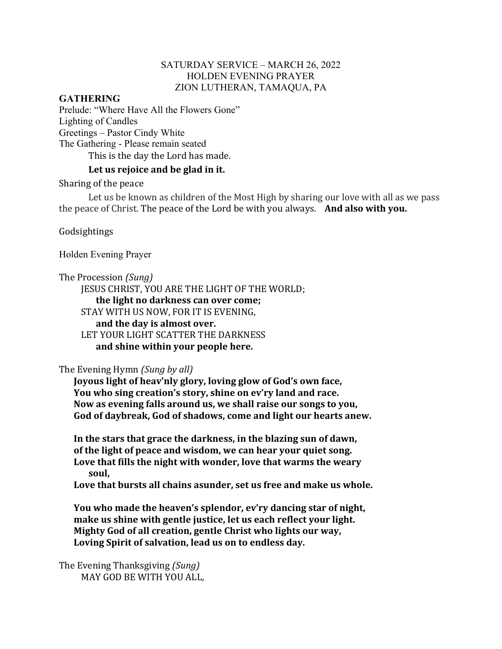### SATURDAY SERVICE – MARCH 26, 2022 HOLDEN EVENING PRAYER ZION LUTHERAN, TAMAQUA, PA

#### **GATHERING**

Prelude: "Where Have All the Flowers Gone" Lighting of Candles Greetings – Pastor Cindy White The Gathering - Please remain seated This is the day the Lord has made.

#### Let us rejoice and be glad in it.

Sharing of the peace

Let us be known as children of the Most High by sharing our love with all as we pass the peace of Christ. The peace of the Lord be with you always. **And also with you.** 

Godsightings

Holden Evening Prayer

The Procession *(Sung)* 

JESUS CHRIST, YOU ARE THE LIGHT OF THE WORLD;

**the light no darkness can over come;**

STAY WITH US NOW, FOR IT IS EVENING,

and the day is almost over. LET YOUR LIGHT SCATTER THE DARKNESS **and shine within your people here.**

### The Evening Hymn *(Sung by all)*

Joyous light of heav'nly glory, loving glow of God's own face, You who sing creation's story, shine on ev'ry land and race. Now as evening falls around us, we shall raise our songs to you, God of daybreak, God of shadows, come and light our hearts anew.

In the stars that grace the darkness, in the blazing sun of dawn, **of the light of peace and wisdom, we can hear your quiet song.** Love that fills the night with wonder, love that warms the weary **soul,**

Love that bursts all chains asunder, set us free and make us whole.

You who made the heaven's splendor, ev'ry dancing star of night, make us shine with gentle justice, let us each reflect your light. **Mighty God of all creation, gentle Christ who lights our way,** Loving Spirit of salvation, lead us on to endless day.

The Evening Thanksgiving *(Sung)* MAY GOD BE WITH YOU ALL.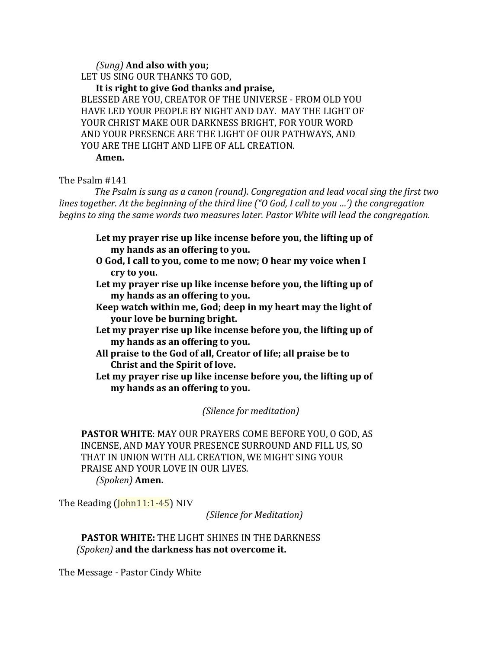#### *(Sung)* **And also with you;**

LET US SING OUR THANKS TO GOD,

It is right to give God thanks and praise,

BLESSED ARE YOU, CREATOR OF THE UNIVERSE - FROM OLD YOU HAVE LED YOUR PEOPLE BY NIGHT AND DAY. MAY THE LIGHT OF YOUR CHRIST MAKE OUR DARKNESS BRIGHT, FOR YOUR WORD AND YOUR PRESENCE ARE THE LIGHT OF OUR PATHWAYS, AND YOU ARE THE LIGHT AND LIFE OF ALL CREATION. **Amen.**

The Psalm #141

*The Psalm is sung as a canon (round). Congregation and lead vocal sing the first two lines together. At the beginning of the third line* ("O God, I call to you ...') the congregation *begins* to sing the same words two measures later. Pastor White will lead the congregation.

Let my prayer rise up like incense before you, the lifting up of **my hands as an offering to you.**

- **O God, I call to you, come to me now; O hear my voice when I cry to you.**
- Let my prayer rise up like incense before you, the lifting up of **my hands as an offering to you.**
- **Keep** watch within me, God; deep in my heart may the light of **your love be burning bright.**
- Let my prayer rise up like incense before you, the lifting up of **my hands as an offering to you.**
- All praise to the God of all, Creator of life; all praise be to **Christ and the Spirit of love.**
- Let my prayer rise up like incense before you, the lifting up of **my hands as an offering to you.**

*(Silence for meditation)* 

**PASTOR WHITE: MAY OUR PRAYERS COME BEFORE YOU, O GOD, AS** INCENSE, AND MAY YOUR PRESENCE SURROUND AND FILL US, SO THAT IN UNION WITH ALL CREATION, WE MIGHT SING YOUR PRAISE AND YOUR LOVE IN OUR LIVES. *(Spoken)* **Amen.**

The Reading  $(John11:1-45)$  NIV

*(Silence for Meditation)*

**PASTOR WHITE:** THE LIGHT SHINES IN THE DARKNESS  *(Spoken)* **and the darkness has not overcome it.**

The Message - Pastor Cindy White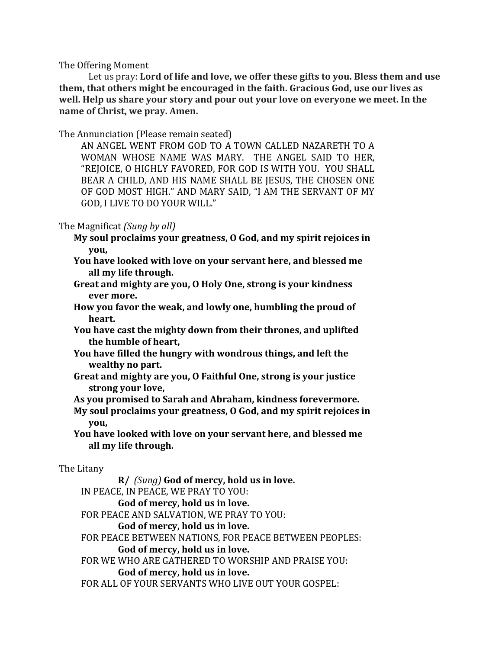The Offering Moment

Let us pray: Lord of life and love, we offer these gifts to you. Bless them and use **them, that others might be encouraged in the faith. Gracious God, use our lives as well.** Help us share your story and pour out your love on everyone we meet. In the **name** of Christ, we pray. Amen.

The Annunciation (Please remain seated)

AN ANGEL WENT FROM GOD TO A TOWN CALLED NAZARETH TO A WOMAN WHOSE NAME WAS MARY. THE ANGEL SAID TO HER, "REJOICE, O HIGHLY FAVORED, FOR GOD IS WITH YOU. YOU SHALL BEAR A CHILD, AND HIS NAME SHALL BE JESUS, THE CHOSEN ONE OF GOD MOST HIGH." AND MARY SAID, "I AM THE SERVANT OF MY GOD, I LIVE TO DO YOUR WILL."

# The Magnificat *(Sung by all)*

- **My soul proclaims your greatness, O God, and my spirit rejoices in you,**
- **You have looked with love on your servant here, and blessed me all my life through.**
- **Great and mighty are you, O Holy One, strong is your kindness ever more.**
- How you favor the weak, and lowly one, humbling the proud of **heart.**
- You have cast the mighty down from their thrones, and uplifted **the humble of heart,**
- **You have filled the hungry with wondrous things, and left the wealthy no part.**
- Great and mighty are you, O Faithful One, strong is your justice strong your love,
- As vou promised to Sarah and Abraham, kindness forevermore.
- **My soul proclaims your greatness, O God, and my spirit rejoices in you,**
- **You have looked with love on your servant here, and blessed me all my life through.**

# The Litany

**R/** *(Sung)* **God of mercy, hold us in love.** IN PEACE, IN PEACE, WE PRAY TO YOU: God of mercy, hold us in love. FOR PEACE AND SALVATION, WE PRAY TO YOU: God of mercy, hold us in love. FOR PEACE BETWEEN NATIONS, FOR PEACE BETWEEN PEOPLES: God of mercy, hold us in love. FOR WE WHO ARE GATHERED TO WORSHIP AND PRAISE YOU: God of mercy, hold us in love.

FOR ALL OF YOUR SERVANTS WHO LIVE OUT YOUR GOSPEL: